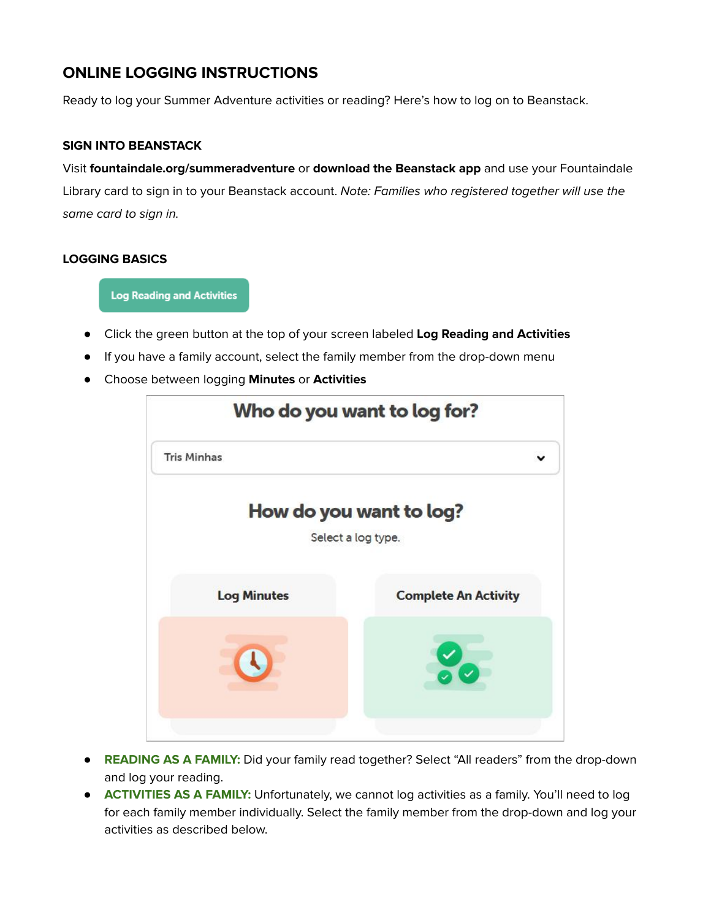# **ONLINE LOGGING INSTRUCTIONS**

Ready to log your Summer Adventure activities or reading? Here's how to log on to Beanstack.

#### **SIGN INTO BEANSTACK**

Visit **fountaindale.org/summeradventure** or **download the Beanstack app** and use your Fountaindale Library card to sign in to your Beanstack account. Note: Families who registered together will use the same card to sign in.

### **LOGGING BASICS**

**Log Reading and Activities** 

- Click the green button at the top of your screen labeled **Log Reading and Activities**
- If you have a family account, select the family member from the drop-down menu
- Choose between logging **Minutes** or **Activities**



- **READING AS A FAMILY:** Did your family read together? Select "All readers" from the drop-down and log your reading.
- **ACTIVITIES AS A FAMILY:** Unfortunately, we cannot log activities as a family. You'll need to log for each family member individually. Select the family member from the drop-down and log your activities as described below.